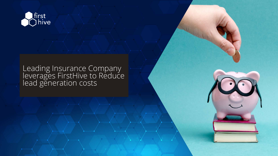

### Leading Insurance Company leverages FirstHive to Reduce lead generation costs

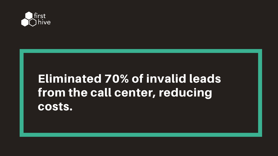

## Eliminated 70% of invalid leads from the call center, reducing costs.

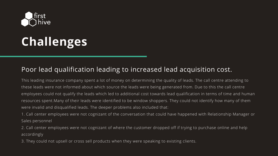

# **Challenges**

#### Poor lead qualification leading to increased lead acquisition cost.

This leading insurance company spent a lot of money on determining the quality of leads. The call centre attending to these leads were not informed about which source the leads were being generated from. Due to this the call centre employees could not qualify the leads which led to additional cost towards lead qualification in terms of time and human resources spent.Many of their leads were identified to be window shoppers. They could not identify how many of them were invalid and disqualified leads. The deeper problems also included that:

1. Call center employees were not cognizant of the conversation that could have happened with Relationship Manager or Sales personnel

2. Call center employees were not cognizant of where the customer dropped off if trying to purchase online and help accordingly

3. They could not upsell or cross sell products when they were speaking to existing clients.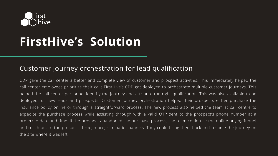

# **FirstHive's Solution**

#### Customer journey orchestration for lead qualification

CDP gave the call center a better and complete view of customer and prospect activities. This immediately helped the call center employees prioritize their calls.FirstHive's CDP got deployed to orchestrate multiple customer journeys. This helped the call center personnel identify the journey and attribute the right qualification. This was also available to be deployed for new leads and prospects. Customer journey orchestration helped their prospects either purchase the insurance policy online or through a straightforward process. The new process also helped the team at call centre to expedite the purchase process while assisting through with a valid OTP sent to the prospect's phone number at a preferred date and time. If the prospect abandoned the purchase process, the team could use the online buying funnel and reach out to the prospect through programmatic channels. They could bring them back and resume the journey on the site where it was left.